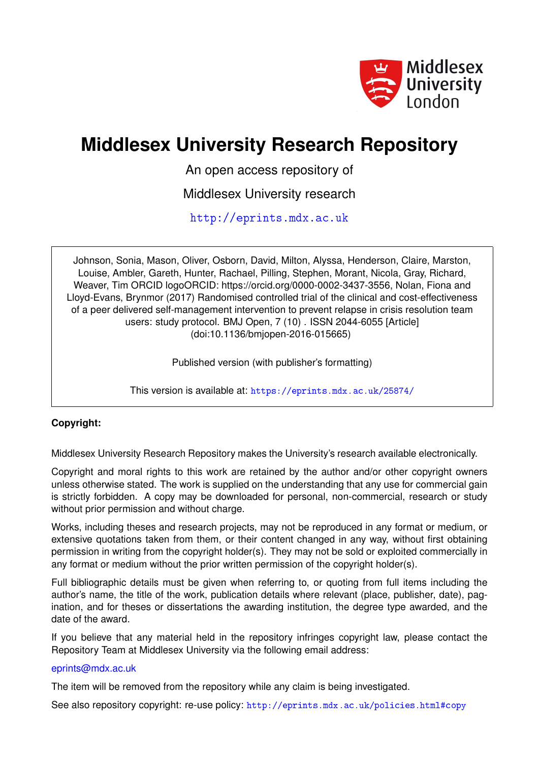

# **Middlesex University Research Repository**

An open access repository of

Middlesex University research

<http://eprints.mdx.ac.uk>

Johnson, Sonia, Mason, Oliver, Osborn, David, Milton, Alyssa, Henderson, Claire, Marston, Louise, Ambler, Gareth, Hunter, Rachael, Pilling, Stephen, Morant, Nicola, Gray, Richard, Weaver, Tim ORCID logoORCID: https://orcid.org/0000-0002-3437-3556, Nolan, Fiona and Lloyd-Evans, Brynmor (2017) Randomised controlled trial of the clinical and cost-effectiveness of a peer delivered self-management intervention to prevent relapse in crisis resolution team users: study protocol. BMJ Open, 7 (10) . ISSN 2044-6055 [Article] (doi:10.1136/bmjopen-2016-015665)

Published version (with publisher's formatting)

This version is available at: <https://eprints.mdx.ac.uk/25874/>

### **Copyright:**

Middlesex University Research Repository makes the University's research available electronically.

Copyright and moral rights to this work are retained by the author and/or other copyright owners unless otherwise stated. The work is supplied on the understanding that any use for commercial gain is strictly forbidden. A copy may be downloaded for personal, non-commercial, research or study without prior permission and without charge.

Works, including theses and research projects, may not be reproduced in any format or medium, or extensive quotations taken from them, or their content changed in any way, without first obtaining permission in writing from the copyright holder(s). They may not be sold or exploited commercially in any format or medium without the prior written permission of the copyright holder(s).

Full bibliographic details must be given when referring to, or quoting from full items including the author's name, the title of the work, publication details where relevant (place, publisher, date), pagination, and for theses or dissertations the awarding institution, the degree type awarded, and the date of the award.

If you believe that any material held in the repository infringes copyright law, please contact the Repository Team at Middlesex University via the following email address:

#### [eprints@mdx.ac.uk](mailto:eprints@mdx.ac.uk)

The item will be removed from the repository while any claim is being investigated.

See also repository copyright: re-use policy: <http://eprints.mdx.ac.uk/policies.html#copy>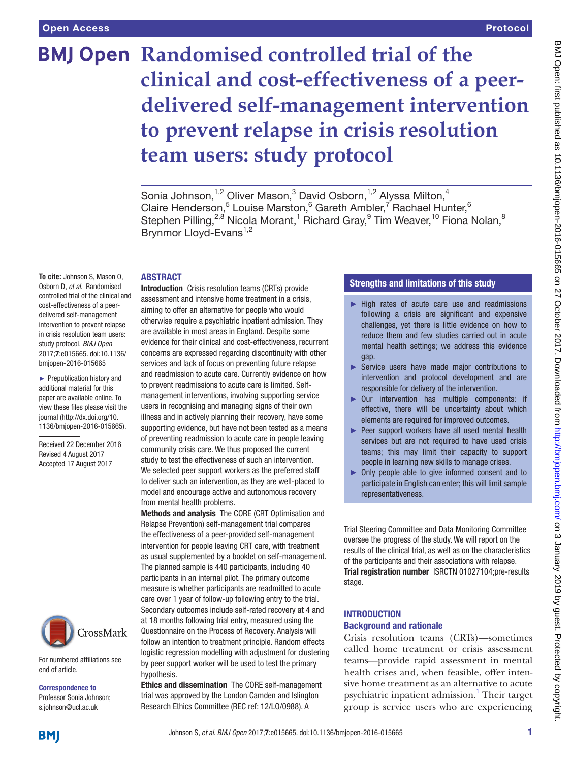# **BMJ Open Randomised controlled trial of the clinical and cost-effectiveness of a peerdelivered self-management intervention to prevent relapse in crisis resolution team users: study protocol**

Sonia Johnson, $^{1,2}$  Oliver Mason, $^3$  David Osborn, $^{1,2}$  Alyssa Milton, $^4$ Claire Henderson,<sup>5</sup> Louise Marston,<sup>6</sup> Gareth Ambler,<sup>7</sup> Rachael Hunter,<sup>6</sup> Stephen Pilling,<sup>2,8</sup> Nicola Morant,<sup>1</sup> Richard Gray,<sup>9</sup> Tim Weaver,<sup>10</sup> Fiona Nolan,<sup>8</sup> Brynmor Lloyd-Evans<sup>1,2</sup>

#### **ABSTRACT**

**To cite:** Johnson S, Mason O, Osborn D, *et al*. Randomised controlled trial of the clinical and cost-effectiveness of a peerdelivered self-management intervention to prevent relapse in crisis resolution team users: study protocol. *BMJ Open* 2017;7:e015665. doi:10.1136/ bmjopen-2016-015665

► Prepublication history and additional material for this paper are available online. To view these files please visit the journal [\(http://dx.doi.org/10.](http://dx.doi.org/10.1136/bmjopen-2016-015665) [1136/bmjopen-2016-015665\)](http://dx.doi.org/10.1136/bmjopen-2016-015665).

Received 22 December 2016 Revised 4 August 2017 Accepted 17 August 2017



For numbered affiliations see end of article.

Correspondence to Professor Sonia Johnson; s.johnson@ucl.ac.uk

Introduction Crisis resolution teams (CRTs) provide assessment and intensive home treatment in a crisis, aiming to offer an alternative for people who would otherwise require a psychiatric inpatient admission. They are available in most areas in England. Despite some evidence for their clinical and cost-effectiveness, recurrent concerns are expressed regarding discontinuity with other services and lack of focus on preventing future relapse and readmission to acute care. Currently evidence on how to prevent readmissions to acute care is limited. Selfmanagement interventions, involving supporting service users in recognising and managing signs of their own illness and in actively planning their recovery, have some supporting evidence, but have not been tested as a means of preventing readmission to acute care in people leaving community crisis care. We thus proposed the current study to test the effectiveness of such an intervention. We selected peer support workers as the preferred staff to deliver such an intervention, as they are well-placed to model and encourage active and autonomous recovery from mental health problems.

Methods and analysis The CORE (CRT Optimisation and Relapse Prevention) self-management trial compares the effectiveness of a peer-provided self-management intervention for people leaving CRT care, with treatment as usual supplemented by a booklet on self-management. The planned sample is 440 participants, including 40 participants in an internal pilot. The primary outcome measure is whether participants are readmitted to acute care over 1 year of follow-up following entry to the trial. Secondary outcomes include self-rated recovery at 4 and at 18 months following trial entry, measured using the Questionnaire on the Process of Recovery. Analysis will follow an intention to treatment principle. Random effects logistic regression modelling with adjustment for clustering by peer support worker will be used to test the primary hypothesis.

Ethics and dissemination The CORE self-management trial was approved by the London Camden and Islington Research Ethics Committee (REC ref: 12/LO/0988). A

#### Strengths and limitations of this study

- ► High rates of acute care use and readmissions following a crisis are significant and expensive challenges, yet there is little evidence on how to reduce them and few studies carried out in acute mental health settings; we address this evidence gap.
- ► Service users have made major contributions to intervention and protocol development and are responsible for delivery of the intervention.
- ► Our intervention has multiple components: if effective, there will be uncertainty about which elements are required for improved outcomes.
- ► Peer support workers have all used mental health services but are not required to have used crisis teams; this may limit their capacity to support people in learning new skills to manage crises.
- ► Only people able to give informed consent and to participate in English can enter; this will limit sample representativeness.

Trial Steering Committee and Data Monitoring Committee oversee the progress of the study. We will report on the results of the clinical trial, as well as on the characteristics of the participants and their associations with relapse. Trial registration number [ISRCTN 01027104;](ISRCTN01027104)pre-results stage

#### **INTRODUCTION** Background and rationale

Crisis resolution teams (CRTs)—sometimes called home treatment or crisis assessment teams—provide rapid assessment in mental health crises and, when feasible, offer intensive home treatment as an alternative to acute psychiatric inpatient admission.<sup>1</sup> Their target group is service users who are experiencing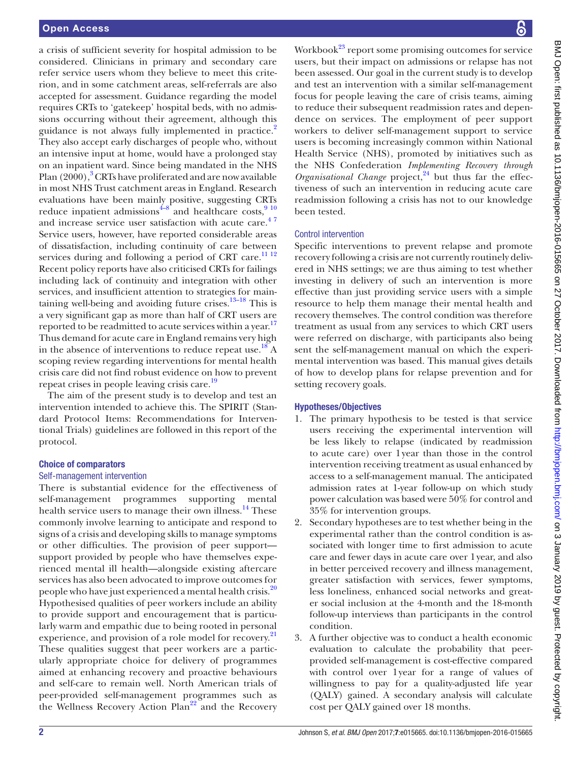a crisis of sufficient severity for hospital admission to be considered. Clinicians in primary and secondary care refer service users whom they believe to meet this criterion, and in some catchment areas, self-referrals are also accepted for assessment. Guidance regarding the model requires CRTs to 'gatekeep' hospital beds, with no admissions occurring without their agreement, although this guidance is not always fully implemented in practice.<sup>[2](#page-12-1)</sup> They also accept early discharges of people who, without an intensive input at home, would have a prolonged stay on an inpatient ward. Since being mandated in the NHS Plan  $(2000)$ ,<sup>[3](#page-12-2)</sup> CRTs have proliferated and are now available in most NHS Trust catchment areas in England. Research evaluations have been mainly positive, suggesting CRTs reduce inpatient admissions<sup> $4-8$ </sup> and healthcare costs,  $9^{10}$ and increase service user satisfaction with acute care.<sup>47</sup> Service users, however, have reported considerable areas of dissatisfaction, including continuity of care between services during and following a period of CRT care.<sup>11 12</sup> Recent policy reports have also criticised CRTs for failings including lack of continuity and integration with other services, and insufficient attention to strategies for maintaining well-being and avoiding future crises. $13-18$  This is a very significant gap as more than half of CRT users are reported to be readmitted to acute services within a year.<sup>17</sup> Thus demand for acute care in England remains very high in the absence of interventions to reduce repeat use.<sup>18</sup> A scoping review regarding interventions for mental health crisis care did not find robust evidence on how to prevent repeat crises in people leaving crisis care[.19](#page-12-9)

The aim of the present study is to develop and test an intervention intended to achieve this. The SPIRIT (Standard Protocol Items: Recommendations for Interventional Trials) guidelines are followed in this report of the protocol.

#### Choice of comparators

#### Self-management intervention

There is substantial evidence for the effectiveness of self-management programmes supporting mental health service users to manage their own illness.<sup>[14](#page-12-10)</sup> These commonly involve learning to anticipate and respond to signs of a crisis and developing skills to manage symptoms or other difficulties. The provision of peer support support provided by people who have themselves experienced mental ill health—alongside existing aftercare services has also been advocated to improve outcomes for people who have just experienced a mental health crisis.<sup>[20](#page-12-11)</sup> Hypothesised qualities of peer workers include an ability to provide support and encouragement that is particularly warm and empathic due to being rooted in personal experience, and provision of a role model for recovery.<sup>[21](#page-12-12)</sup> These qualities suggest that peer workers are a particularly appropriate choice for delivery of programmes aimed at enhancing recovery and proactive behaviours and self-care to remain well. North American trials of peer-provided self-management programmes such as the Wellness Recovery Action Plan<sup>22</sup> and the Recovery Workbook $^{23}$  $^{23}$  $^{23}$  report some promising outcomes for service users, but their impact on admissions or relapse has not been assessed. Our goal in the current study is to develop and test an intervention with a similar self-management focus for people leaving the care of crisis teams, aiming to reduce their subsequent readmission rates and dependence on services. The employment of peer support workers to deliver self-management support to service users is becoming increasingly common within National Health Service (NHS), promoted by initiatives such as the NHS Confederation *Implementing Recovery through Organisational Change* project,<sup>[24](#page-13-0)</sup> but thus far the effectiveness of such an intervention in reducing acute care readmission following a crisis has not to our knowledge been tested.

#### Control intervention

Specific interventions to prevent relapse and promote recovery following a crisis are not currently routinely delivered in NHS settings; we are thus aiming to test whether investing in delivery of such an intervention is more effective than just providing service users with a simple resource to help them manage their mental health and recovery themselves. The control condition was therefore treatment as usual from any services to which CRT users were referred on discharge, with participants also being sent the self-management manual on which the experimental intervention was based. This manual gives details of how to develop plans for relapse prevention and for setting recovery goals.

#### Hypotheses/Objectives

- 1. The primary hypothesis to be tested is that service users receiving the experimental intervention will be less likely to relapse (indicated by readmission to acute care) over 1year than those in the control intervention receiving treatment as usual enhanced by access to a self-management manual. The anticipated admission rates at 1-year follow-up on which study power calculation was based were 50% for control and 35% for intervention groups.
- 2. Secondary hypotheses are to test whether being in the experimental rather than the control condition is associated with longer time to first admission to acute care and fewer days in acute care over 1year, and also in better perceived recovery and illness management, greater satisfaction with services, fewer symptoms, less loneliness, enhanced social networks and greater social inclusion at the 4-month and the 18-month follow-up interviews than participants in the control condition.
- 3. A further objective was to conduct a health economic evaluation to calculate the probability that peerprovided self-management is cost-effective compared with control over 1year for a range of values of willingness to pay for a quality-adjusted life year (QALY) gained. A secondary analysis will calculate cost per QALY gained over 18 months.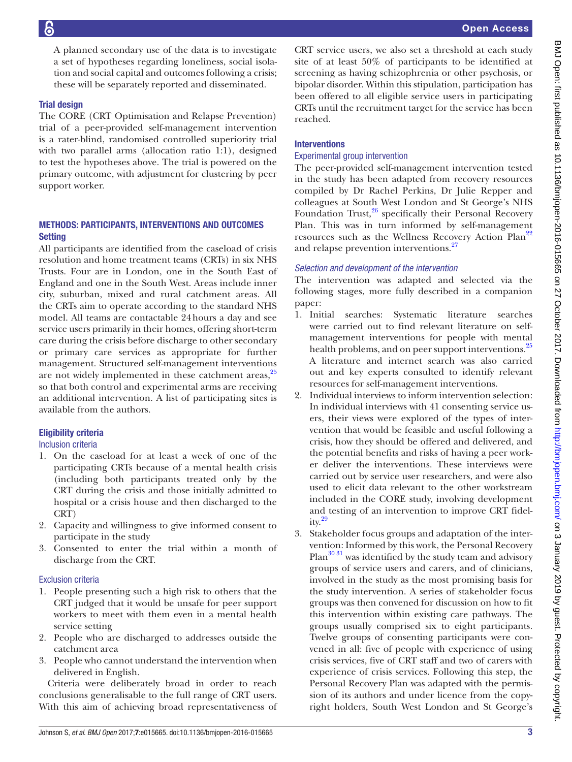A planned secondary use of the data is to investigate a set of hypotheses regarding loneliness, social isolation and social capital and outcomes following a crisis; these will be separately reported and disseminated.

#### Trial design

The CORE (CRT Optimisation and Relapse Prevention) trial of a peer-provided self-management intervention is a rater-blind, randomised controlled superiority trial with two parallel arms (allocation ratio 1:1), designed to test the hypotheses above. The trial is powered on the primary outcome, with adjustment for clustering by peer support worker.

#### Methods: participants, interventions and outcomes **Setting**

All participants are identified from the caseload of crisis resolution and home treatment teams (CRTs) in six NHS Trusts. Four are in London, one in the South East of England and one in the South West. Areas include inner city, suburban, mixed and rural catchment areas. All the CRTs aim to operate according to the standard NHS model. All teams are contactable 24hours a day and see service users primarily in their homes, offering short-term care during the crisis before discharge to other secondary or primary care services as appropriate for further management. Structured self-management interventions are not widely implemented in these catchment areas, $^{25}$ so that both control and experimental arms are receiving an additional intervention. A list of participating sites is available from the authors.

#### Eligibility criteria

#### Inclusion criteria

- 1. On the caseload for at least a week of one of the participating CRTs because of a mental health crisis (including both participants treated only by the CRT during the crisis and those initially admitted to hospital or a crisis house and then discharged to the CRT)
- 2. Capacity and willingness to give informed consent to participate in the study
- 3. Consented to enter the trial within a month of discharge from the CRT.

#### Exclusion criteria

- 1. People presenting such a high risk to others that the CRT judged that it would be unsafe for peer support workers to meet with them even in a mental health service setting
- 2. People who are discharged to addresses outside the catchment area
- 3. People who cannot understand the intervention when delivered in English.

Criteria were deliberately broad in order to reach conclusions generalisable to the full range of CRT users. With this aim of achieving broad representativeness of

CRT service users, we also set a threshold at each study site of at least 50% of participants to be identified at screening as having schizophrenia or other psychosis, or bipolar disorder. Within this stipulation, participation has been offered to all eligible service users in participating CRTs until the recruitment target for the service has been reached.

#### **Interventions**

#### Experimental group intervention

The peer-provided self-management intervention tested in the study has been adapted from recovery resources compiled by Dr Rachel Perkins, Dr Julie Repper and colleagues at South West London and St George's NHS Foundation Trust,<sup>26</sup> specifically their Personal Recovery Plan. This was in turn informed by self-management resources such as the Wellness Recovery Action Plan<sup>[22](#page-12-13)</sup> and relapse prevention interventions.<sup>[27](#page-13-3)</sup>

#### *Selection and development of the intervention*

The intervention was adapted and selected via the following stages, more fully described in a companion paper:

- 1. Initial searches: Systematic literature searches were carried out to find relevant literature on selfmanagement interventions for people with mental health problems, and on peer support interventions.<sup>[25](#page-13-1)</sup> A literature and internet search was also carried out and key experts consulted to identify relevant resources for self-management interventions.
- 2. Individual interviews to inform intervention selection: In individual interviews with 41 consenting service users, their views were explored of the types of intervention that would be feasible and useful following a crisis, how they should be offered and delivered, and the potential benefits and risks of having a peer worker deliver the interventions. These interviews were carried out by service user researchers, and were also used to elicit data relevant to the other workstream included in the CORE study, involving development and testing of an intervention to improve CRT fidelity. $\frac{29}{2}$  $\frac{29}{2}$  $\frac{29}{2}$
- 3. Stakeholder focus groups and adaptation of the intervention: Informed by this work, the Personal Recovery Plan $30$ <sup>31</sup> was identified by the study team and advisory groups of service users and carers, and of clinicians, involved in the study as the most promising basis for the study intervention. A series of stakeholder focus groups was then convened for discussion on how to fit this intervention within existing care pathways. The groups usually comprised six to eight participants. Twelve groups of consenting participants were convened in all: five of people with experience of using crisis services, five of CRT staff and two of carers with experience of crisis services. Following this step, the Personal Recovery Plan was adapted with the permission of its authors and under licence from the copyright holders, South West London and St George's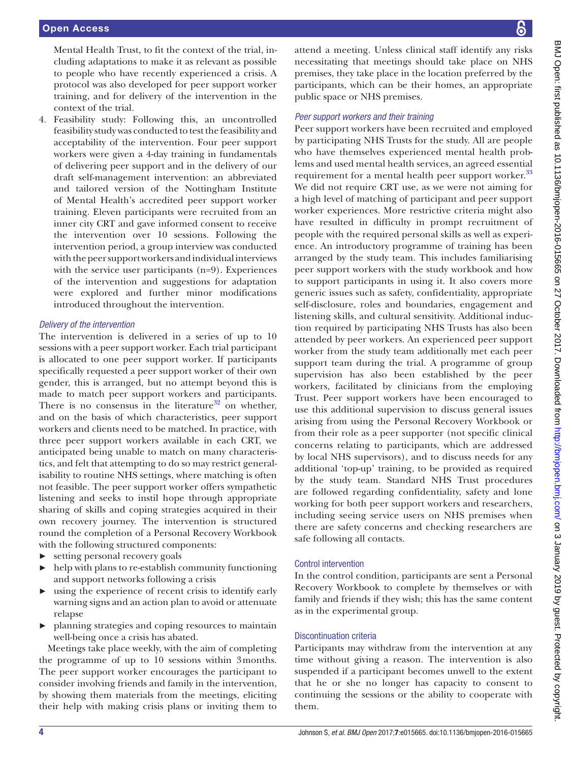Mental Health Trust, to fit the context of the trial, including adaptations to make it as relevant as possible to people who have recently experienced a crisis. A protocol was also developed for peer support worker training, and for delivery of the intervention in the context of the trial.

4. Feasibility study: Following this, an uncontrolled feasibility study was conducted to test the feasibility and acceptability of the intervention. Four peer support workers were given a 4-day training in fundamentals of delivering peer support and in the delivery of our draft self-management intervention: an abbreviated and tailored version of the Nottingham Institute of Mental Health's accredited peer support worker training. Eleven participants were recruited from an inner city CRT and gave informed consent to receive the intervention over 10 sessions. Following the intervention period, a group interview was conducted with the peer support workers and individual interviews with the service user participants (n=9). Experiences of the intervention and suggestions for adaptation were explored and further minor modifications introduced throughout the intervention.

#### *Delivery of the intervention*

The intervention is delivered in a series of up to 10 sessions with a peer support worker. Each trial participant is allocated to one peer support worker. If participants specifically requested a peer support worker of their own gender, this is arranged, but no attempt beyond this is made to match peer support workers and participants. There is no consensus in the literature<sup>[32](#page-13-6)</sup> on whether, and on the basis of which characteristics, peer support workers and clients need to be matched. In practice, with three peer support workers available in each CRT, we anticipated being unable to match on many characteristics, and felt that attempting to do so may restrict generalisability to routine NHS settings, where matching is often not feasible. The peer support worker offers sympathetic listening and seeks to instil hope through appropriate sharing of skills and coping strategies acquired in their own recovery journey. The intervention is structured round the completion of a Personal Recovery Workbook with the following structured components:

- ► setting personal recovery goals
- ► help with plans to re-establish community functioning and support networks following a crisis
- ► using the experience of recent crisis to identify early warning signs and an action plan to avoid or attenuate relapse
- ► planning strategies and coping resources to maintain well-being once a crisis has abated.

Meetings take place weekly, with the aim of completing the programme of up to 10 sessions within 3months. The peer support worker encourages the participant to consider involving friends and family in the intervention, by showing them materials from the meetings, eliciting their help with making crisis plans or inviting them to

attend a meeting. Unless clinical staff identify any risks necessitating that meetings should take place on NHS premises, they take place in the location preferred by the participants, which can be their homes, an appropriate public space or NHS premises.

#### *Peer support workers and their training*

Peer support workers have been recruited and employed by participating NHS Trusts for the study. All are people who have themselves experienced mental health problems and used mental health services, an agreed essential requirement for a mental health peer support worker.<sup>[33](#page-13-7)</sup> We did not require CRT use, as we were not aiming for a high level of matching of participant and peer support worker experiences. More restrictive criteria might also have resulted in difficulty in prompt recruitment of people with the required personal skills as well as experience. An introductory programme of training has been arranged by the study team. This includes familiarising peer support workers with the study workbook and how to support participants in using it. It also covers more generic issues such as safety, confidentiality, appropriate self-disclosure, roles and boundaries, engagement and listening skills, and cultural sensitivity. Additional induction required by participating NHS Trusts has also been attended by peer workers. An experienced peer support worker from the study team additionally met each peer support team during the trial. A programme of group supervision has also been established by the peer workers, facilitated by clinicians from the employing Trust. Peer support workers have been encouraged to use this additional supervision to discuss general issues arising from using the Personal Recovery Workbook or from their role as a peer supporter (not specific clinical concerns relating to participants, which are addressed by local NHS supervisors), and to discuss needs for any additional 'top-up' training, to be provided as required by the study team. Standard NHS Trust procedures are followed regarding confidentiality, safety and lone working for both peer support workers and researchers, including seeing service users on NHS premises when there are safety concerns and checking researchers are safe following all contacts.

#### Control intervention

In the control condition, participants are sent a Personal Recovery Workbook to complete by themselves or with family and friends if they wish; this has the same content as in the experimental group.

#### Discontinuation criteria

Participants may withdraw from the intervention at any time without giving a reason. The intervention is also suspended if a participant becomes unwell to the extent that he or she no longer has capacity to consent to continuing the sessions or the ability to cooperate with them.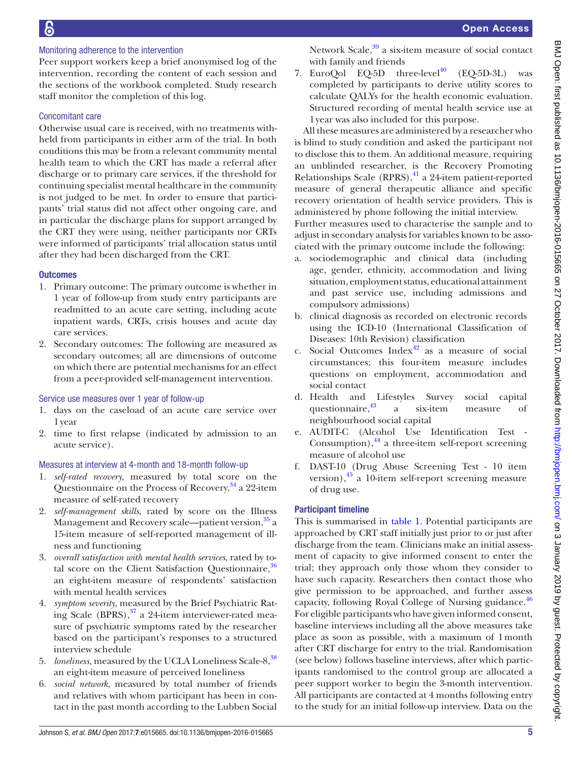### Monitoring adherence to the intervention

Peer support workers keep a brief anonymised log of the intervention, recording the content of each session and the sections of the workbook completed. Study research staff monitor the completion of this log.

#### Concomitant care

Otherwise usual care is received, with no treatments withheld from participants in either arm of the trial. In both conditions this may be from a relevant community mental health team to which the CRT has made a referral after discharge or to primary care services, if the threshold for continuing specialist mental healthcare in the community is not judged to be met. In order to ensure that participants' trial status did not affect other ongoing care, and in particular the discharge plans for support arranged by the CRT they were using, neither participants nor CRTs were informed of participants' trial allocation status until after they had been discharged from the CRT.

#### **Outcomes**

- 1. Primary outcome: The primary outcome is whether in 1 year of follow-up from study entry participants are readmitted to an acute care setting, including acute inpatient wards, CRTs, crisis houses and acute day care services.
- 2. Secondary outcomes: The following are measured as secondary outcomes; all are dimensions of outcome on which there are potential mechanisms for an effect from a peer-provided self-management intervention.

#### Service use measures over 1 year of follow-up

- 1. days on the caseload of an acute care service over 1year
- 2. time to first relapse (indicated by admission to an acute service).

#### Measures at interview at 4-month and 18-month follow-up

- 1. *self-rated recovery,* measured by total score on the Questionnaire on the Process of Recovery,  $34$  a 22-item measure of self-rated recovery
- 2. *self-management skills*, rated by score on the Illness Management and Recovery scale—patient version,<sup>35</sup> a 15-item measure of self-reported management of illness and functioning
- 3. *overall satisfaction with mental health services*, rated by total score on the Client Satisfaction Questionnaire,  $36$ an eight-item measure of respondents' satisfaction with mental health services
- 4. *symptom severity*, measured by the Brief Psychiatric Rating Scale (BPRS), $37$  a 24-item interviewer-rated measure of psychiatric symptoms rated by the researcher based on the participant's responses to a structured interview schedule
- 5. *loneliness*, measured by the UCLA Loneliness Scale-8,<sup>[38](#page-13-12)</sup> an eight-item measure of perceived loneliness
- 6. *social network,* measured by total number of friends and relatives with whom participant has been in contact in the past month according to the Lubben Social

Network Scale, $39$  a six-item measure of social contact with family and friends

7. EuroOol  $EO-5D$  three-level<sup>[40](#page-13-14)</sup> (EO-5D-3L) was completed by participants to derive utility scores to calculate QALYs for the health economic evaluation. Structured recording of mental health service use at 1year was also included for this purpose.

All these measures are administered by a researcher who is blind to study condition and asked the participant not to disclose this to them. An additional measure, requiring an unblinded researcher, is the Recovery Promoting Relationships Scale (RPRS),<sup>41</sup> a 24-item patient-reported measure of general therapeutic alliance and specific recovery orientation of health service providers. This is administered by phone following the initial interview. Further measures used to characterise the sample and to adjust in secondary analysis for variables known to be associated with the primary outcome include the following:

- a. sociodemographic and clinical data (including age, gender, ethnicity, accommodation and living situation, employment status, educational attainment and past service use, including admissions and compulsory admissions)
- b. clinical diagnosis as recorded on electronic records using the ICD-10 (International Classification of Diseases: 10th Revision) classification
- c. Social Outcomes  $Index<sup>42</sup>$  as a measure of social circumstances; this four-item measure includes questions on employment, accommodation and social contact
- d. Health and Lifestyles Survey social capital questionnaire,<sup>43</sup> a six-item measure of neighbourhood social capital
- e. AUDIT-C (Alcohol Use Identification Test Consumption), $^{44}$  a three-item self-report screening measure of alcohol use
- f. DAST-10 (Drug Abuse Screening Test 10 item version), $45$  a 10-item self-report screening measure of drug use.

#### Participant timeline

This is summarised in [table](#page-6-0) 1. Potential participants are approached by CRT staff initially just prior to or just after discharge from the team. Clinicians make an initial assessment of capacity to give informed consent to enter the trial; they approach only those whom they consider to have such capacity. Researchers then contact those who give permission to be approached, and further assess capacity, following Royal College of Nursing guidance.<sup>[46](#page-13-20)</sup> For eligible participants who have given informed consent, baseline interviews including all the above measures take place as soon as possible, with a maximum of 1month after CRT discharge for entry to the trial. Randomisation (see below) follows baseline interviews, after which participants randomised to the control group are allocated a peer support worker to begin the 3-month intervention. All participants are contacted at 4 months following entry to the study for an initial follow-up interview. Data on the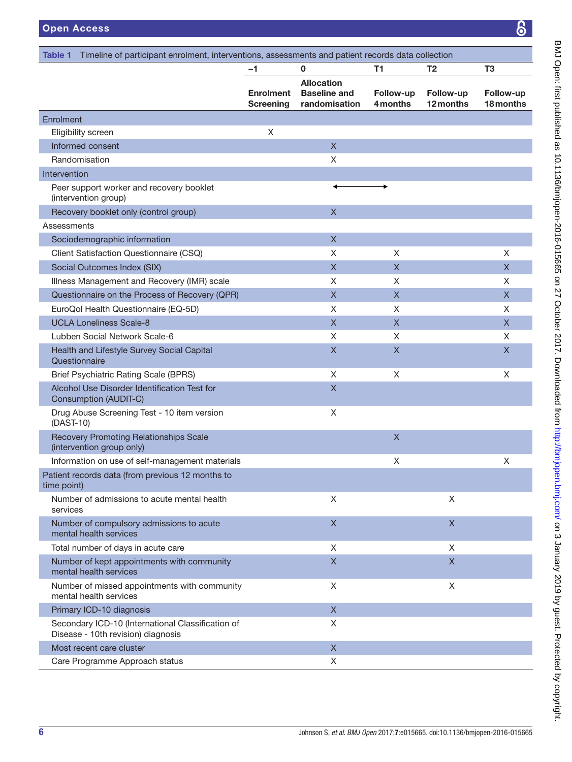<span id="page-6-0"></span>

| Table 1 Timeline of participant enrolment, interventions, assessments and patient records data collection |                                      |                                                           |                       |                        |                        |
|-----------------------------------------------------------------------------------------------------------|--------------------------------------|-----------------------------------------------------------|-----------------------|------------------------|------------------------|
|                                                                                                           | $-1$                                 | 0                                                         | T1                    | T <sub>2</sub>         | T <sub>3</sub>         |
|                                                                                                           | <b>Enrolment</b><br><b>Screening</b> | <b>Allocation</b><br><b>Baseline and</b><br>randomisation | Follow-up<br>4 months | Follow-up<br>12 months | Follow-up<br>18 months |
| Enrolment                                                                                                 |                                      |                                                           |                       |                        |                        |
| Eligibility screen                                                                                        | X                                    |                                                           |                       |                        |                        |
| Informed consent                                                                                          |                                      | $\mathsf{X}$                                              |                       |                        |                        |
| Randomisation                                                                                             |                                      | X                                                         |                       |                        |                        |
| Intervention                                                                                              |                                      |                                                           |                       |                        |                        |
| Peer support worker and recovery booklet<br>(intervention group)                                          |                                      |                                                           |                       |                        |                        |
| Recovery booklet only (control group)                                                                     |                                      | X                                                         |                       |                        |                        |
| Assessments                                                                                               |                                      |                                                           |                       |                        |                        |
| Sociodemographic information                                                                              |                                      | $\boldsymbol{\mathsf{X}}$                                 |                       |                        |                        |
| Client Satisfaction Questionnaire (CSQ)                                                                   |                                      | X                                                         | X                     |                        | X                      |
| Social Outcomes Index (SIX)                                                                               |                                      | $\mathsf{X}$                                              | $\mathsf{X}$          |                        | $\overline{X}$         |
| Illness Management and Recovery (IMR) scale                                                               |                                      | X                                                         | X                     |                        | X                      |
| Questionnaire on the Process of Recovery (QPR)                                                            |                                      | $\boldsymbol{\mathsf{X}}$                                 | $\mathsf{X}$          |                        | $\mathsf{X}$           |
| EuroQol Health Questionnaire (EQ-5D)                                                                      |                                      | X                                                         | X                     |                        | X                      |
| <b>UCLA Loneliness Scale-8</b>                                                                            |                                      | X                                                         | X                     |                        | X                      |
| Lubben Social Network Scale-6                                                                             |                                      | X                                                         | X                     |                        | X                      |
| Health and Lifestyle Survey Social Capital<br>Questionnaire                                               |                                      | X                                                         | $\mathsf{X}$          |                        | $\mathsf{X}$           |
| <b>Brief Psychiatric Rating Scale (BPRS)</b>                                                              |                                      | X                                                         | X                     |                        | X                      |
| Alcohol Use Disorder Identification Test for<br>Consumption (AUDIT-C)                                     |                                      | $\mathsf{X}$                                              |                       |                        |                        |
| Drug Abuse Screening Test - 10 item version<br>(DAST-10)                                                  |                                      | X                                                         |                       |                        |                        |
| <b>Recovery Promoting Relationships Scale</b><br>(intervention group only)                                |                                      |                                                           | $\mathsf X$           |                        |                        |
| Information on use of self-management materials                                                           |                                      |                                                           | X                     |                        | Χ                      |
| Patient records data (from previous 12 months to<br>time point)                                           |                                      |                                                           |                       |                        |                        |
| Number of admissions to acute mental health<br>services                                                   |                                      | X                                                         |                       | X                      |                        |
| Number of compulsory admissions to acute<br>mental health services                                        |                                      | $\mathsf{X}$                                              |                       | $\mathsf{X}$           |                        |
| Total number of days in acute care                                                                        |                                      | X                                                         |                       | X                      |                        |
| Number of kept appointments with community<br>mental health services                                      |                                      | $\mathsf{X}$                                              |                       | $\mathsf{X}$           |                        |
| Number of missed appointments with community<br>mental health services                                    |                                      | X                                                         |                       | X                      |                        |
| Primary ICD-10 diagnosis                                                                                  |                                      | X                                                         |                       |                        |                        |
| Secondary ICD-10 (International Classification of<br>Disease - 10th revision) diagnosis                   |                                      | X                                                         |                       |                        |                        |
| Most recent care cluster                                                                                  |                                      | $\mathsf X$                                               |                       |                        |                        |
| Care Programme Approach status                                                                            |                                      | X                                                         |                       |                        |                        |

၆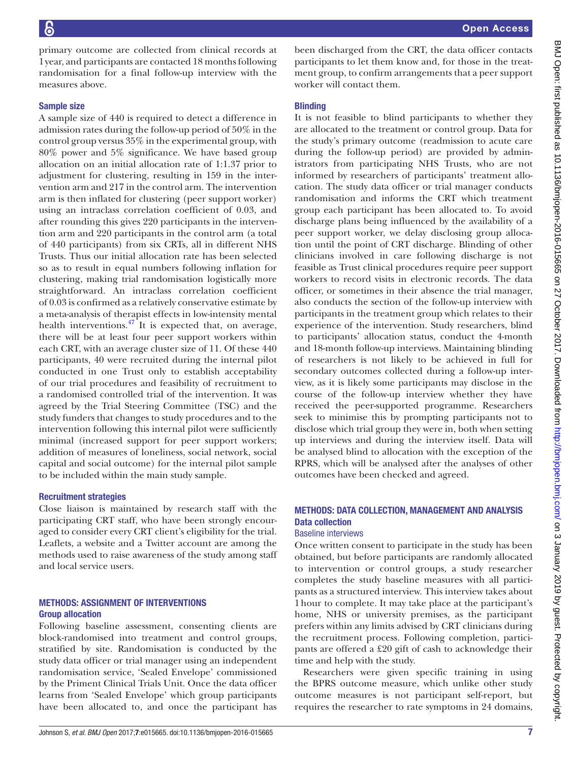Open Access

primary outcome are collected from clinical records at 1year, and participants are contacted 18 months following randomisation for a final follow-up interview with the measures above.

#### Sample size

A sample size of 440 is required to detect a difference in admission rates during the follow-up period of 50% in the control group versus 35% in the experimental group, with 80% power and 5% significance. We have based group allocation on an initial allocation rate of 1:1.37 prior to adjustment for clustering, resulting in 159 in the intervention arm and 217 in the control arm. The intervention arm is then inflated for clustering (peer support worker) using an intraclass correlation coefficient of 0.03, and after rounding this gives 220 participants in the intervention arm and 220 participants in the control arm (a total of 440 participants) from six CRTs, all in different NHS Trusts. Thus our initial allocation rate has been selected so as to result in equal numbers following inflation for clustering, making trial randomisation logistically more straightforward. An intraclass correlation coefficient of 0.03 is confirmed as a relatively conservative estimate by a meta-analysis of therapist effects in low-intensity mental health interventions. $^{47}$  It is expected that, on average, there will be at least four peer support workers within each CRT, with an average cluster size of 11. Of these 440 participants, 40 were recruited during the internal pilot conducted in one Trust only to establish acceptability of our trial procedures and feasibility of recruitment to a randomised controlled trial of the intervention. It was agreed by the Trial Steering Committee (TSC) and the study funders that changes to study procedures and to the intervention following this internal pilot were sufficiently minimal (increased support for peer support workers; addition of measures of loneliness, social network, social capital and social outcome) for the internal pilot sample to be included within the main study sample.

#### Recruitment strategies

Close liaison is maintained by research staff with the participating CRT staff, who have been strongly encouraged to consider every CRT client's eligibility for the trial. Leaflets, a website and a Twitter account are among the methods used to raise awareness of the study among staff and local service users.

#### Methods: assignment of interventions Group allocation

Following baseline assessment, consenting clients are block-randomised into treatment and control groups, stratified by site. Randomisation is conducted by the study data officer or trial manager using an independent randomisation service, 'Sealed Envelope' commissioned by the Priment Clinical Trials Unit. Once the data officer learns from 'Sealed Envelope' which group participants have been allocated to, and once the participant has

been discharged from the CRT, the data officer contacts participants to let them know and, for those in the treatment group, to confirm arrangements that a peer support worker will contact them.

#### **Blinding**

It is not feasible to blind participants to whether they are allocated to the treatment or control group. Data for the study's primary outcome (readmission to acute care during the follow-up period) are provided by administrators from participating NHS Trusts, who are not informed by researchers of participants' treatment allocation. The study data officer or trial manager conducts randomisation and informs the CRT which treatment group each participant has been allocated to. To avoid discharge plans being influenced by the availability of a peer support worker, we delay disclosing group allocation until the point of CRT discharge. Blinding of other clinicians involved in care following discharge is not feasible as Trust clinical procedures require peer support workers to record visits in electronic records. The data officer, or sometimes in their absence the trial manager, also conducts the section of the follow-up interview with participants in the treatment group which relates to their experience of the intervention. Study researchers, blind to participants' allocation status, conduct the 4-month and 18-month follow-up interviews. Maintaining blinding of researchers is not likely to be achieved in full for secondary outcomes collected during a follow-up interview, as it is likely some participants may disclose in the course of the follow-up interview whether they have received the peer-supported programme. Researchers seek to minimise this by prompting participants not to disclose which trial group they were in, both when setting up interviews and during the interview itself. Data will be analysed blind to allocation with the exception of the RPRS, which will be analysed after the analyses of other outcomes have been checked and agreed.

#### Methods: data collection, management and analysis Data collection

#### Baseline interviews

Once written consent to participate in the study has been obtained, but before participants are randomly allocated to intervention or control groups, a study researcher completes the study baseline measures with all participants as a structured interview. This interview takes about 1hour to complete. It may take place at the participant's home, NHS or university premises, as the participant prefers within any limits advised by CRT clinicians during the recruitment process. Following completion, participants are offered a £20 gift of cash to acknowledge their time and help with the study.

Researchers were given specific training in using the BPRS outcome measure, which unlike other study outcome measures is not participant self-report, but requires the researcher to rate symptoms in 24 domains,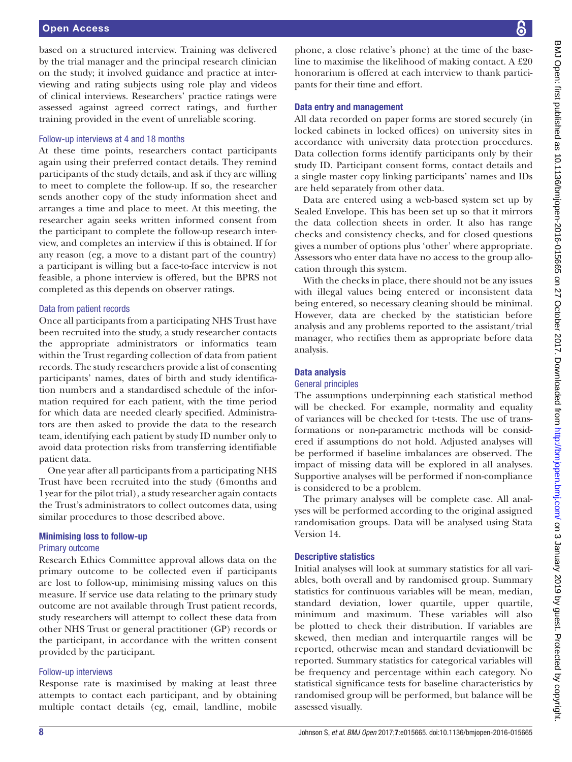based on a structured interview. Training was delivered by the trial manager and the principal research clinician on the study; it involved guidance and practice at interviewing and rating subjects using role play and videos of clinical interviews. Researchers' practice ratings were assessed against agreed correct ratings, and further training provided in the event of unreliable scoring.

#### Follow-up interviews at 4 and 18 months

At these time points, researchers contact participants again using their preferred contact details. They remind participants of the study details, and ask if they are willing to meet to complete the follow-up. If so, the researcher sends another copy of the study information sheet and arranges a time and place to meet. At this meeting, the researcher again seeks written informed consent from the participant to complete the follow-up research interview, and completes an interview if this is obtained. If for any reason (eg, a move to a distant part of the country) a participant is willing but a face-to-face interview is not feasible, a phone interview is offered, but the BPRS not completed as this depends on observer ratings.

#### Data from patient records

Once all participants from a participating NHS Trust have been recruited into the study, a study researcher contacts the appropriate administrators or informatics team within the Trust regarding collection of data from patient records. The study researchers provide a list of consenting participants' names, dates of birth and study identification numbers and a standardised schedule of the information required for each patient, with the time period for which data are needed clearly specified. Administrators are then asked to provide the data to the research team, identifying each patient by study ID number only to avoid data protection risks from transferring identifiable patient data.

One year after all participants from a participating NHS Trust have been recruited into the study (6months and 1year for the pilot trial), a study researcher again contacts the Trust's administrators to collect outcomes data, using similar procedures to those described above.

### Minimising loss to follow-up

#### Primary outcome

Research Ethics Committee approval allows data on the primary outcome to be collected even if participants are lost to follow-up, minimising missing values on this measure. If service use data relating to the primary study outcome are not available through Trust patient records, study researchers will attempt to collect these data from other NHS Trust or general practitioner (GP) records or the participant, in accordance with the written consent provided by the participant.

#### Follow-up interviews

Response rate is maximised by making at least three attempts to contact each participant, and by obtaining multiple contact details (eg, email, landline, mobile

phone, a close relative's phone) at the time of the baseline to maximise the likelihood of making contact. A £20 honorarium is offered at each interview to thank participants for their time and effort.

#### Data entry and management

All data recorded on paper forms are stored securely (in locked cabinets in locked offices) on university sites in accordance with university data protection procedures. Data collection forms identify participants only by their study ID. Participant consent forms, contact details and a single master copy linking participants' names and IDs are held separately from other data.

Data are entered using a web-based system set up by Sealed Envelope. This has been set up so that it mirrors the data collection sheets in order. It also has range checks and consistency checks, and for closed questions gives a number of options plus 'other' where appropriate. Assessors who enter data have no access to the group allocation through this system.

With the checks in place, there should not be any issues with illegal values being entered or inconsistent data being entered, so necessary cleaning should be minimal. However, data are checked by the statistician before analysis and any problems reported to the assistant/trial manager, who rectifies them as appropriate before data analysis.

#### Data analysis

#### General principles

The assumptions underpinning each statistical method will be checked. For example, normality and equality of variances will be checked for t-tests. The use of transformations or non-parametric methods will be considered if assumptions do not hold. Adjusted analyses will be performed if baseline imbalances are observed. The impact of missing data will be explored in all analyses. Supportive analyses will be performed if non-compliance is considered to be a problem.

The primary analyses will be complete case. All analyses will be performed according to the original assigned randomisation groups. Data will be analysed using Stata Version 14.

#### Descriptive statistics

Initial analyses will look at summary statistics for all variables, both overall and by randomised group. Summary statistics for continuous variables will be mean, median, standard deviation, lower quartile, upper quartile, minimum and maximum. These variables will also be plotted to check their distribution. If variables are skewed, then median and interquartile ranges will be reported, otherwise mean and standard deviationwill be reported. Summary statistics for categorical variables will be frequency and percentage within each category. No statistical significance tests for baseline characteristics by randomised group will be performed, but balance will be assessed visually.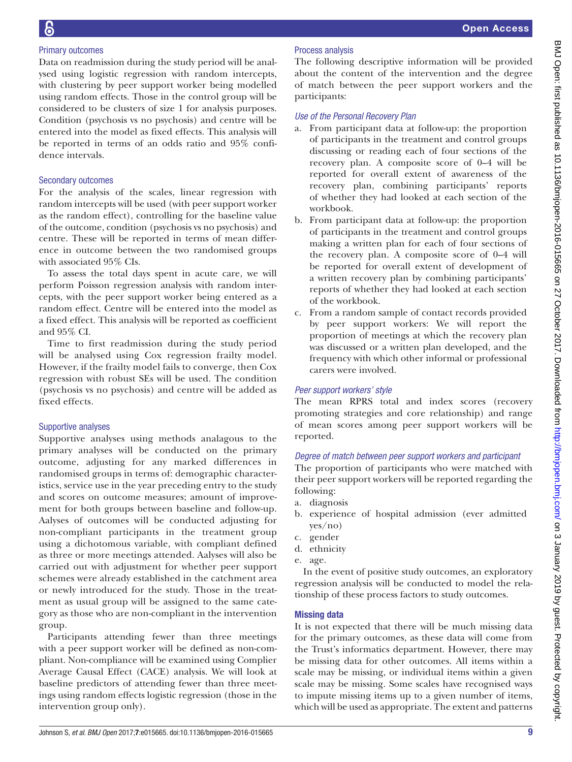# Primary outcomes

Data on readmission during the study period will be analysed using logistic regression with random intercepts, with clustering by peer support worker being modelled using random effects. Those in the control group will be considered to be clusters of size 1 for analysis purposes. Condition (psychosis vs no psychosis) and centre will be entered into the model as fixed effects. This analysis will be reported in terms of an odds ratio and 95% confidence intervals.

## Secondary outcomes

For the analysis of the scales, linear regression with random intercepts will be used (with peer support worker as the random effect), controlling for the baseline value of the outcome, condition (psychosis vs no psychosis) and centre. These will be reported in terms of mean difference in outcome between the two randomised groups with associated 95% CIs.

To assess the total days spent in acute care, we will perform Poisson regression analysis with random intercepts, with the peer support worker being entered as a random effect. Centre will be entered into the model as a fixed effect. This analysis will be reported as coefficient and 95% CI.

Time to first readmission during the study period will be analysed using Cox regression frailty model. However, if the frailty model fails to converge, then Cox regression with robust SEs will be used. The condition (psychosis vs no psychosis) and centre will be added as fixed effects.

# Supportive analyses

Supportive analyses using methods analagous to the primary analyses will be conducted on the primary outcome, adjusting for any marked differences in randomised groups in terms of: demographic characteristics, service use in the year preceding entry to the study and scores on outcome measures; amount of improvement for both groups between baseline and follow-up. Aalyses of outcomes will be conducted adjusting for non-compliant participants in the treatment group using a dichotomous variable, with compliant defined as three or more meetings attended. Aalyses will also be carried out with adjustment for whether peer support schemes were already established in the catchment area or newly introduced for the study. Those in the treatment as usual group will be assigned to the same category as those who are non-compliant in the intervention group.

Participants attending fewer than three meetings with a peer support worker will be defined as non-compliant. Non-compliance will be examined using Complier Average Causal Effect (CACE) analysis. We will look at baseline predictors of attending fewer than three meetings using random effects logistic regression (those in the intervention group only).

# Process analysis

The following descriptive information will be provided about the content of the intervention and the degree of match between the peer support workers and the participants:

# *Use of the Personal Recovery Plan*

- a. From participant data at follow-up: the proportion of participants in the treatment and control groups discussing or reading each of four sections of the recovery plan. A composite score of 0–4 will be reported for overall extent of awareness of the recovery plan, combining participants' reports of whether they had looked at each section of the workbook.
- b. From participant data at follow-up: the proportion of participants in the treatment and control groups making a written plan for each of four sections of the recovery plan. A composite score of 0–4 will be reported for overall extent of development of a written recovery plan by combining participants' reports of whether they had looked at each section of the workbook.
- c. From a random sample of contact records provided by peer support workers: We will report the proportion of meetings at which the recovery plan was discussed or a written plan developed, and the frequency with which other informal or professional carers were involved.

# *Peer support workers' style*

The mean RPRS total and index scores (recovery promoting strategies and core relationship) and range of mean scores among peer support workers will be reported.

# *Degree of match between peer support workers and participant*

The proportion of participants who were matched with their peer support workers will be reported regarding the following:

- a. diagnosis
- b. experience of hospital admission (ever admitted yes/no)
- c. gender
- d. ethnicity
- e. age.

In the event of positive study outcomes, an exploratory regression analysis will be conducted to model the relationship of these process factors to study outcomes.

# Missing data

It is not expected that there will be much missing data for the primary outcomes, as these data will come from the Trust's informatics department. However, there may be missing data for other outcomes. All items within a scale may be missing, or individual items within a given scale may be missing. Some scales have recognised ways to impute missing items up to a given number of items, which will be used as appropriate. The extent and patterns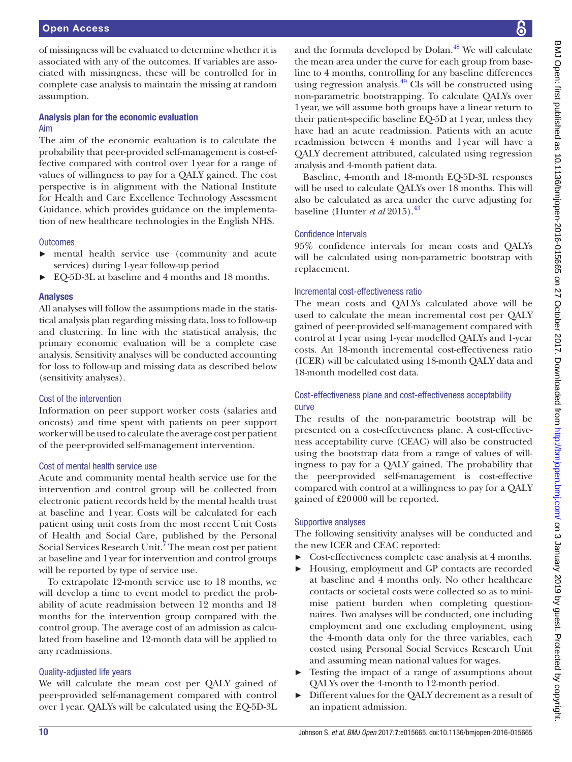of missingness will be evaluated to determine whether it is associated with any of the outcomes. If variables are associated with missingness, these will be controlled for in complete case analysis to maintain the missing at random assumption.

#### Analysis plan for the economic evaluation Aim

The aim of the economic evaluation is to calculate the probability that peer-provided self-management is cost-effective compared with control over 1year for a range of values of willingness to pay for a QALY gained. The cost perspective is in alignment with the National Institute for Health and Care Excellence Technology Assessment Guidance, which provides guidance on the implementation of new healthcare technologies in the English NHS.

#### **Outcomes**

- ► mental health service use (community and acute services) during 1-year follow-up period
- ► EQ-5D-3L at baseline and 4 months and 18 months.

#### Analyses

All analyses will follow the assumptions made in the statistical analysis plan regarding missing data, loss to follow-up and clustering. In line with the statistical analysis, the primary economic evaluation will be a complete case analysis. Sensitivity analyses will be conducted accounting for loss to follow-up and missing data as described below (sensitivity analyses).

#### Cost of the intervention

Information on peer support worker costs (salaries and oncosts) and time spent with patients on peer support worker will be used to calculate the average cost per patient of the peer-provided self-management intervention.

#### Cost of mental health service use

Acute and community mental health service use for the intervention and control group will be collected from electronic patient records held by the mental health trust at baseline and 1year. Costs will be calculated for each patient using unit costs from the most recent Unit Costs of Health and Social Care, published by the Personal Social Services Research Unit.<sup>[7](#page-12-15)</sup> The mean cost per patient at baseline and 1year for intervention and control groups will be reported by type of service use.

To extrapolate 12-month service use to 18 months, we will develop a time to event model to predict the probability of acute readmission between 12 months and 18 months for the intervention group compared with the control group. The average cost of an admission as calculated from baseline and 12-month data will be applied to any readmissions.

#### Quality-adjusted life years

We will calculate the mean cost per QALY gained of peer-provided self-management compared with control over 1year. QALYs will be calculated using the EQ-5D-3L

and the formula developed by Dolan.<sup>48</sup> We will calculate the mean area under the curve for each group from baseline to 4 months, controlling for any baseline differences using regression analysis. $^{49}$  CIs will be constructed using non-parametric bootstrapping. To calculate QALYs over 1year, we will assume both groups have a linear return to their patient-specific baseline EQ-5D at 1year, unless they have had an acute readmission. Patients with an acute readmission between 4 months and 1year will have a QALY decrement attributed, calculated using regression analysis and 4-month patient data.

Baseline, 4-month and 18-month EQ-5D-3L responses will be used to calculate QALYs over 18 months. This will also be calculated as area under the curve adjusting for baseline (Hunter *et al* 2015).<sup>[43](#page-13-17)</sup>

#### Confidence Intervals

95% confidence intervals for mean costs and QALYs will be calculated using non-parametric bootstrap with replacement.

#### Incremental cost-effectiveness ratio

The mean costs and QALYs calculated above will be used to calculate the mean incremental cost per QALY gained of peer-provided self-management compared with control at 1year using 1-year modelled QALYs and 1-year costs. An 18-month incremental cost-effectiveness ratio (ICER) will be calculated using 18-month QALY data and 18-month modelled cost data.

#### Cost-effectiveness plane and cost-effectiveness acceptability curve

The results of the non-parametric bootstrap will be presented on a cost-effectiveness plane. A cost-effectiveness acceptability curve (CEAC) will also be constructed using the bootstrap data from a range of values of willingness to pay for a QALY gained. The probability that the peer-provided self-management is cost-effective compared with control at a willingness to pay for a QALY gained of £20000 will be reported.

#### Supportive analyses

The following sensitivity analyses will be conducted and the new ICER and CEAC reported:

- ► Cost-effectiveness complete case analysis at 4 months.
- ► Housing, employment and GP contacts are recorded at baseline and 4 months only. No other healthcare contacts or societal costs were collected so as to minimise patient burden when completing questionnaires. Two analyses will be conducted, one including employment and one excluding employment, using the 4-month data only for the three variables, each costed using Personal Social Services Research Unit and assuming mean national values for wages.
- ► Testing the impact of a range of assumptions about QALYs over the 4-month to 12-month period.
- ► Different values for the QALY decrement as a result of an inpatient admission.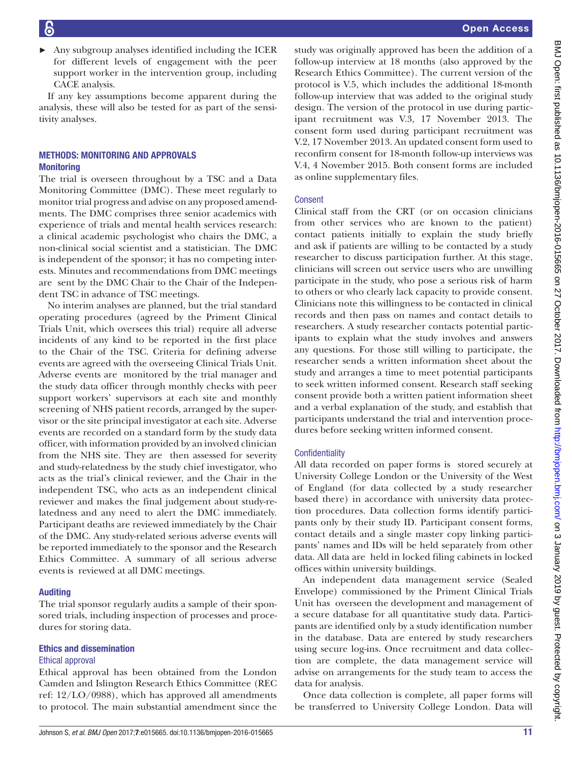$\blacktriangleright$  Any subgroup analyses identified including the ICER for different levels of engagement with the peer support worker in the intervention group, including CACE analysis.

If any key assumptions become apparent during the analysis, these will also be tested for as part of the sensitivity analyses.

#### Methods: monitoring and approvals **Monitoring**

The trial is overseen throughout by a TSC and a Data Monitoring Committee (DMC). These meet regularly to monitor trial progress and advise on any proposed amendments. The DMC comprises three senior academics with experience of trials and mental health services research: a clinical academic psychologist who chairs the DMC, a non-clinical social scientist and a statistician. The DMC is independent of the sponsor; it has no competing interests. Minutes and recommendations from DMC meetings are sent by the DMC Chair to the Chair of the Independent TSC in advance of TSC meetings.

No interim analyses are planned, but the trial standard operating procedures (agreed by the Priment Clinical Trials Unit, which oversees this trial) require all adverse incidents of any kind to be reported in the first place to the Chair of the TSC. Criteria for defining adverse events are agreed with the overseeing Clinical Trials Unit. Adverse events are monitored by the trial manager and the study data officer through monthly checks with peer support workers' supervisors at each site and monthly screening of NHS patient records, arranged by the supervisor or the site principal investigator at each site. Adverse events are recorded on a standard form by the study data officer, with information provided by an involved clinician from the NHS site. They are then assessed for severity and study-relatedness by the study chief investigator, who acts as the trial's clinical reviewer, and the Chair in the independent TSC, who acts as an independent clinical reviewer and makes the final judgement about study-relatedness and any need to alert the DMC immediately. Participant deaths are reviewed immediately by the Chair of the DMC. Any study-related serious adverse events will be reported immediately to the sponsor and the Research Ethics Committee. A summary of all serious adverse events is reviewed at all DMC meetings.

#### Auditing

The trial sponsor regularly audits a sample of their sponsored trials, including inspection of processes and procedures for storing data.

#### Ethics and dissemination Ethical approval

Ethical approval has been obtained from the London Camden and Islington Research Ethics Committee (REC ref: 12/LO/0988), which has approved all amendments to protocol. The main substantial amendment since the

study was originally approved has been the addition of a follow-up interview at 18 months (also approved by the Research Ethics Committee). The current version of the protocol is V.5, which includes the additional 18-month follow-up interview that was added to the original study design. The version of the protocol in use during participant recruitment was V.3, 17 November 2013. The consent form used during participant recruitment was V.2, 17 November 2013. An updated consent form used to reconfirm consent for 18-month follow-up interviews was V.4, 4 November 2015. Both consent forms are included as [online supplementary files](https://dx.doi.org/10.1136/bmjopen-2016-015665).

#### Consent

Clinical staff from the CRT (or on occasion clinicians from other services who are known to the patient) contact patients initially to explain the study briefly and ask if patients are willing to be contacted by a study researcher to discuss participation further. At this stage, clinicians will screen out service users who are unwilling participate in the study, who pose a serious risk of harm to others or who clearly lack capacity to provide consent. Clinicians note this willingness to be contacted in clinical records and then pass on names and contact details to researchers. A study researcher contacts potential participants to explain what the study involves and answers any questions. For those still willing to participate, the researcher sends a written information sheet about the study and arranges a time to meet potential participants to seek written informed consent. Research staff seeking consent provide both a written patient information sheet and a verbal explanation of the study, and establish that participants understand the trial and intervention procedures before seeking written informed consent.

#### **Confidentiality**

All data recorded on paper forms is stored securely at University College London or the University of the West of England (for data collected by a study researcher based there) in accordance with university data protection procedures. Data collection forms identify participants only by their study ID. Participant consent forms, contact details and a single master copy linking participants' names and IDs will be held separately from other data. All data are held in locked filing cabinets in locked offices within university buildings.

An independent data management service (Sealed Envelope) commissioned by the Priment Clinical Trials Unit has overseen the development and management of a secure database for all quantitative study data. Participants are identified only by a study identification number in the database. Data are entered by study researchers using secure log-ins. Once recruitment and data collection are complete, the data management service will advise on arrangements for the study team to access the data for analysis.

Once data collection is complete, all paper forms will be transferred to University College London. Data will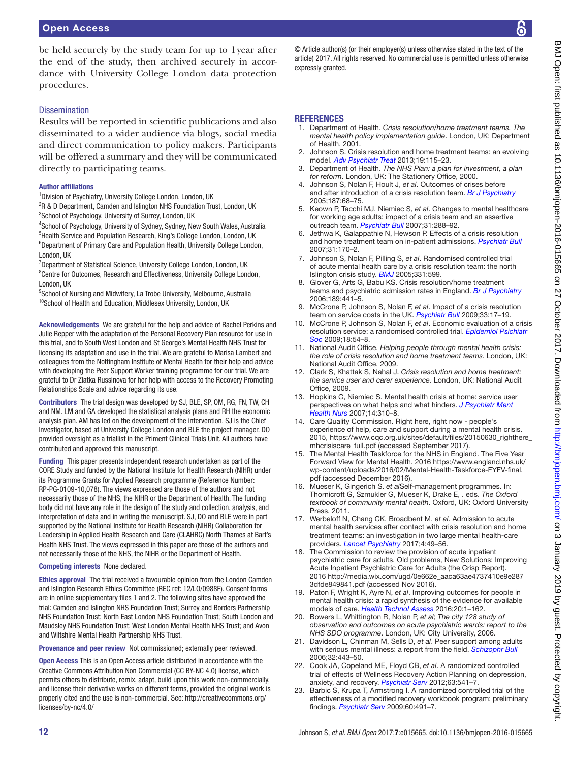be held securely by the study team for up to 1year after the end of the study, then archived securely in accordance with University College London data protection procedures.

#### Dissemination

Results will be reported in scientific publications and also disseminated to a wider audience via blogs, social media and direct communication to policy makers. Participants will be offered a summary and they will be communicated directly to participating teams.

#### Author affiliations

<sup>1</sup> Division of Psychiatry, University College London, London, UK

<sup>2</sup>R & D Department, Camden and Islington NHS Foundation Trust, London, UK <sup>3</sup>School of Psychology, University of Surrey, London, UK

<sup>4</sup>School of Psychology, University of Sydney, Sydney, New South Wales, Australia <sup>5</sup>Health Service and Population Research, King's College London, London, UK <sup>6</sup>Department of Primary Care and Population Health, University College London, London, UK

<sup>7</sup>Department of Statistical Science, University College London, London, UK <sup>8</sup> Centre for Outcomes, Research and Effectiveness, University College London, London, UK

<sup>9</sup>School of Nursing and Midwifery, La Trobe University, Melbourne, Australia <sup>10</sup>School of Health and Education, Middlesex University, London, UK

Acknowledgements We are grateful for the help and advice of Rachel Perkins and Julie Repper with the adaptation of the Personal Recovery Plan resource for use in this trial, and to South West London and St George's Mental Health NHS Trust for licensing its adaptation and use in the trial. We are grateful to Marisa Lambert and colleagues from the Nottingham Institute of Mental Health for their help and advice with developing the Peer Support Worker training programme for our trial. We are grateful to Dr Zlatka Russinova for her help with access to the Recovery Promoting Relationships Scale and advice regarding its use.

Contributors The trial design was developed by SJ, BLE, SP, OM, RG, FN, TW, CH and NM. LM and GA developed the statistical analysis plans and RH the economic analysis plan. AM has led on the development of the intervention. SJ is the Chief Investigator, based at University College London and BLE the project manager. DO provided oversight as a triallist in the Priment Clinical Trials Unit. All authors have contributed and approved this manuscript.

Funding This paper presents independent research undertaken as part of the CORE Study and funded by the National Institute for Health Research (NIHR) under its Programme Grants for Applied Research programme (Reference Number: RP-PG-0109-10,078). The views expressed are those of the authors and not necessarily those of the NHS, the NIHR or the Department of Health. The funding body did not have any role in the design of the study and collection, analysis, and interpretation of data and in writing the manuscript. SJ, DO and BLE were in part supported by the National Institute for Health Research (NIHR) Collaboration for Leadership in Applied Health Research and Care (CLAHRC) North Thames at Bart's Health NHS Trust. The views expressed in this paper are those of the authors and not necessarily those of the NHS, the NIHR or the Department of Health.

#### Competing interests None declared.

Ethics approval The trial received a favourable opinion from the London Camden and Islington Research Ethics Committee (REC ref: 12/LO/0988F). Consent forms are in online supplementary files 1 and 2. The following sites have approved the trial: Camden and Islington NHS Foundation Trust; Surrey and Borders Partnership NHS Foundation Trust; North East London NHS Foundation Trust; South London and Maudsley NHS Foundation Trust; West London Mental Health NHS Trust; and Avon and Wiltshire Mental Health Partnership NHS Trust.

Provenance and peer review Not commissioned; externally peer reviewed.

Open Access This is an Open Access article distributed in accordance with the Creative Commons Attribution Non Commercial (CC BY-NC 4.0) license, which permits others to distribute, remix, adapt, build upon this work non-commercially, and license their derivative works on different terms, provided the original work is properly cited and the use is non-commercial. See: [http://creativecommons.org/](http://creativecommons.org/licenses/by-nc/4.0/) [licenses/by-nc/4.0/](http://creativecommons.org/licenses/by-nc/4.0/)

© Article author(s) (or their employer(s) unless otherwise stated in the text of the article) 2017. All rights reserved. No commercial use is permitted unless otherwise expressly granted.

#### **REFERENCES**

- <span id="page-12-0"></span>1. Department of Health. *Crisis resolution/home treatment teams. The mental health policy implementation guide*. London, UK: Department of Health, 2001.
- <span id="page-12-1"></span>2. Johnson S. Crisis resolution and home treatment teams: an evolving model. *[Adv Psychiatr Treat](http://dx.doi.org/10.1192/apt.bp.107.004192)* 2013;19:115–23.
- <span id="page-12-2"></span>3. Department of Health. *The NHS Plan: a plan for investment, a plan for reform*. London, UK: The Stationery Office, 2000.
- <span id="page-12-3"></span>4. Johnson S, Nolan F, Hoult J, *et al*. Outcomes of crises before and after introduction of a crisis resolution team. *[Br J Psychiatry](http://dx.doi.org/10.1192/bjp.187.1.68)* 2005;187:68–75.
- 5. Keown P, Tacchi MJ, Niemiec S, *et al*. Changes to mental healthcare for working age adults: impact of a crisis team and an assertive outreach team. *[Psychiatr Bull](http://dx.doi.org/10.1192/pb.bp.106.012054)* 2007;31:288–92.
- 6. Jethwa K, Galappathie N, Hewson P. Effects of a crisis resolution and home treatment team on in-patient admissions. *[Psychiatr Bull](http://dx.doi.org/10.1192/pb.bp.106.010389)* 2007;31:170–2.
- <span id="page-12-15"></span>7. Johnson S, Nolan F, Pilling S, *et al*. Randomised controlled trial of acute mental health care by a crisis resolution team: the north Islington crisis study. *[BMJ](http://dx.doi.org/10.1136/bmj.38519.678148.8F)* 2005;331:599.
- 8. Glover G, Arts G, Babu KS. Crisis resolution/home treatment teams and psychiatric admission rates in England. *[Br J Psychiatry](http://dx.doi.org/10.1192/bjp.bp.105.020362)* 2006;189:441–5.
- <span id="page-12-4"></span>9. McCrone P, Johnson S, Nolan F, *et al*. Impact of a crisis resolution team on service costs in the UK. *[Psychiatr Bull](http://dx.doi.org/10.1192/pb.bp.107.018648)* 2009;33:17–19.
- 10. McCrone P, Johnson S, Nolan F, *et al*. Economic evaluation of a crisis resolution service: a randomised controlled trial. *[Epidemiol Psichiatr](http://dx.doi.org/10.1017/S1121189X00001469)  [Soc](http://dx.doi.org/10.1017/S1121189X00001469)* 2009;18:54–8.
- <span id="page-12-5"></span>11. National Audit Office. *Helping people through mental health crisis: the role of crisis resolution and home treatment teams*. London, UK: National Audit Office, 2009.
- 12. Clark S, Khattak S, Nahal J. *Crisis resolution and home treatment: the service user and carer experience*. London, UK: National Audit Office, 2009.
- <span id="page-12-6"></span>13. Hopkins C, Niemiec S. Mental health crisis at home: service user perspectives on what helps and what hinders. *[J Psychiatr Ment](http://dx.doi.org/10.1111/j.1365-2850.2007.01083.x)  [Health Nurs](http://dx.doi.org/10.1111/j.1365-2850.2007.01083.x)* 2007;14:310–8.
- <span id="page-12-10"></span>14. Care Quality Commission. Right here, right now - people's experience of help, care and support during a mental health crisis. 2015, [https://www.cqc.org.uk/sites/default/files/20150630\\_righthere\\_](https://www.cqc.org.uk/sites/default/files/20150630_righthere_mhcrisiscare_full.pdf) [mhcrisiscare\\_full.pdf](https://www.cqc.org.uk/sites/default/files/20150630_righthere_mhcrisiscare_full.pdf) (accessed September 2017).
- 15. The Mental Health Taskforce for the NHS in England. The Five Year Forward View for Mental Health. 2016 [https://www.england.nhs.uk/](https://www.england.nhs.uk/wp-content/uploads/2016/02/Mental-Health-Taskforce-FYFV-final.pdf) [wp-content/uploads/2016/02/Mental-Health-Taskforce-FYFV-final.](https://www.england.nhs.uk/wp-content/uploads/2016/02/Mental-Health-Taskforce-FYFV-final.pdf) [pdf](https://www.england.nhs.uk/wp-content/uploads/2016/02/Mental-Health-Taskforce-FYFV-final.pdf) (accessed December 2016).
- 16. Mueser K, Gingerich S. *et al*Self-management programmes. In: Thornicroft G, Szmukler G, Mueser K, Drake E, . eds. *The Oxford textbook of community mental health*. Oxford, UK: Oxford University Press, 2011.
- <span id="page-12-7"></span>17. Werbeloff N, Chang CK, Broadbent M, *et al*. Admission to acute mental health services after contact with crisis resolution and home treatment teams: an investigation in two large mental health-care providers. *[Lancet Psychiatry](http://dx.doi.org/10.1016/S2215-0366(16)30416-3)* 2017;4:49–56.
- <span id="page-12-8"></span>18. The Commission to review the provision of acute inpatient psychiatric care for adults. Old problems, New Solutions: Improving Acute Inpatient Psychiatric Care for Adults (the Crisp Report). 2016 [http://media.wix.com/ugd/0e662e\\_aaca63ae4737410e9e287](http://media.wix.com/ugd/0e662e_aaca63ae4737410e9e2873dfde849841.pdf) [3dfde849841.pdf](http://media.wix.com/ugd/0e662e_aaca63ae4737410e9e2873dfde849841.pdf) (accessed Nov 2016).
- <span id="page-12-9"></span>19. Paton F, Wright K, Ayre N, *et al*. Improving outcomes for people in mental health crisis: a rapid synthesis of the evidence for available models of care. *[Health Technol Assess](http://dx.doi.org/10.3310/hta20030)* 2016;20:1–162.
- <span id="page-12-11"></span>20. Bowers L, Whittington R, Nolan P, *et al*; *The city 128 study of observation and outcomes on acute psychiatric wards: report to the NHS SDO programme*. London, UK: City University, 2006.
- <span id="page-12-12"></span>21. Davidson L, Chinman M, Sells D, *et al*. Peer support among adults with serious mental illness: a report from the field. *[Schizophr Bull](http://dx.doi.org/10.1093/schbul/sbj043)* 2006;32:443–50.
- <span id="page-12-13"></span>22. Cook JA, Copeland ME, Floyd CB, *et al*. A randomized controlled trial of effects of Wellness Recovery Action Planning on depression, anxiety, and recovery. *[Psychiatr Serv](http://dx.doi.org/10.1176/appi.ps.201100125)* 2012;63:541–7.
- <span id="page-12-14"></span>23. Barbic S, Krupa T, Armstrong I. A randomized controlled trial of the effectiveness of a modified recovery workbook program: preliminary findings. *[Psychiatr Serv](http://dx.doi.org/10.1176/ps.2009.60.4.491)* 2009;60:491–7.